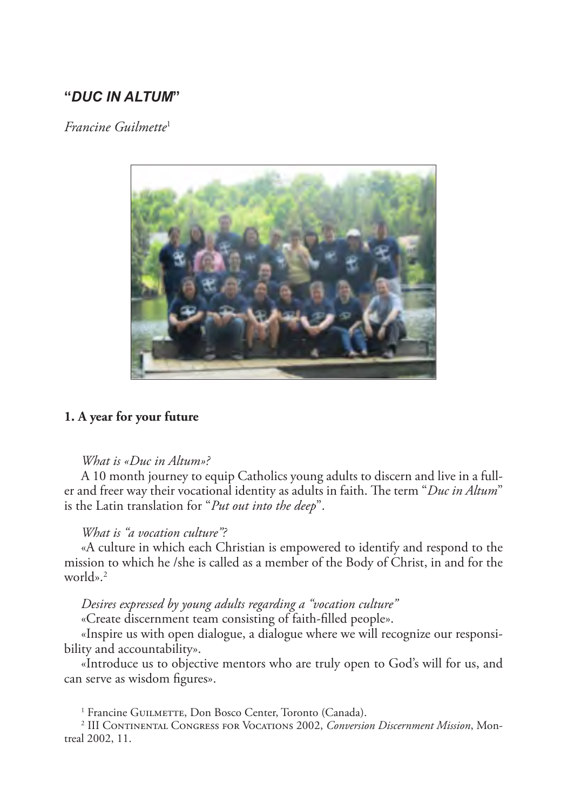# **"***DUC IN ALTUM***"**

*Francine Guilmette*<sup>1</sup>



#### **1. A year for your future**

#### *What is «Duc in Altum»?*

A 10 month journey to equip Catholics young adults to discern and live in a fuller and freer way their vocational identity as adults in faith. The term "*Duc in Altum*" is the Latin translation for "*Put out into the deep*".

## *What is "a vocation culture"?*

«A culture in which each Christian is empowered to identify and respond to the mission to which he /she is called as a member of the Body of Christ, in and for the world».2

#### *Desires expressed by young adults regarding a "vocation culture"*

«Create discernment team consisting of faith-filled people».

«Inspire us with open dialogue, a dialogue where we will recognize our responsibility and accountability».

«Introduce us to objective mentors who are truly open to God's will for us, and can serve as wisdom figures».

<sup>1</sup> Francine GUILMETTE, Don Bosco Center, Toronto (Canada).

<sup>2</sup> III Continental Congress for Vocations 2002, *Conversion Discernment Mission*, Montreal 2002, 11.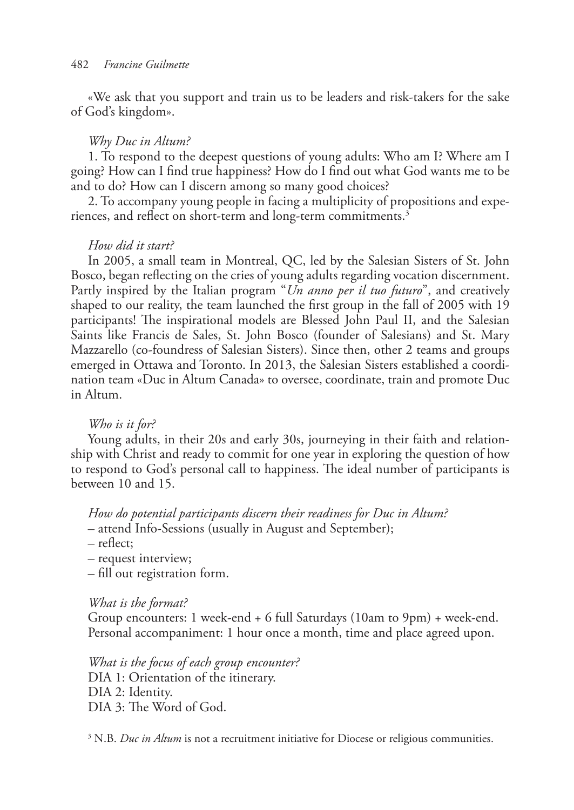«We ask that you support and train us to be leaders and risk-takers for the sake of God's kingdom».

#### *Why Duc in Altum?*

1. To respond to the deepest questions of young adults: Who am I? Where am I going? How can I find true happiness? How do I find out what God wants me to be and to do? How can I discern among so many good choices?

2. To accompany young people in facing a multiplicity of propositions and experiences, and reflect on short-term and long-term commitments.<sup>3</sup>

### *How did it start?*

In 2005, a small team in Montreal, QC, led by the Salesian Sisters of St. John Bosco, began reflecting on the cries of young adults regarding vocation discernment. Partly inspired by the Italian program "*Un anno per il tuo futuro*", and creatively shaped to our reality, the team launched the first group in the fall of 2005 with 19 participants! The inspirational models are Blessed John Paul II, and the Salesian Saints like Francis de Sales, St. John Bosco (founder of Salesians) and St. Mary Mazzarello (co-foundress of Salesian Sisters). Since then, other 2 teams and groups emerged in Ottawa and Toronto. In 2013, the Salesian Sisters established a coordination team «Duc in Altum Canada» to oversee, coordinate, train and promote Duc in Altum.

## *Who is it for?*

Young adults, in their 20s and early 30s, journeying in their faith and relationship with Christ and ready to commit for one year in exploring the question of how to respond to God's personal call to happiness. The ideal number of participants is between 10 and 15.

*How do potential participants discern their readiness for Duc in Altum?*

– attend Info-Sessions (usually in August and September);

– reflect;

– request interview;

– fill out registration form.

#### *What is the format?*

Group encounters: 1 week-end + 6 full Saturdays (10am to 9pm) + week-end. Personal accompaniment: 1 hour once a month, time and place agreed upon.

*What is the focus of each group encounter?* DIA 1: Orientation of the itinerary. DIA 2: Identity. DIA 3: The Word of God.

<sup>3</sup> N.B. *Duc in Altum* is not a recruitment initiative for Diocese or religious communities.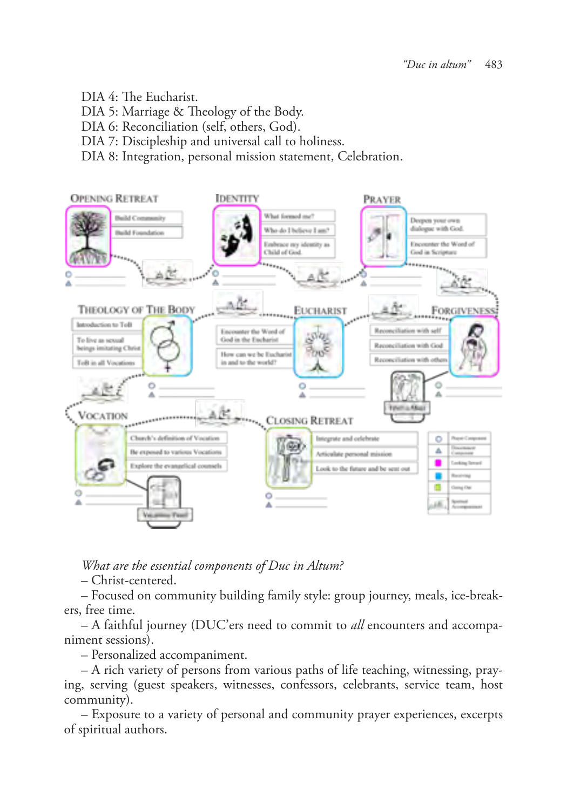- DIA 4: The Eucharist.
- DIA 5: Marriage & Theology of the Body.
- DIA 6: Reconciliation (self, others, God).
- DIA 7: Discipleship and universal call to holiness.
- DIA 8: Integration, personal mission statement, Celebration.



*What are the essential components of Duc in Altum?*

– Christ-centered.

– Focused on community building family style: group journey, meals, ice-breakers, free time.

– A faithful journey (DUC'ers need to commit to *all* encounters and accompaniment sessions).

– Personalized accompaniment.

– A rich variety of persons from various paths of life teaching, witnessing, praying, serving (guest speakers, witnesses, confessors, celebrants, service team, host community).

– Exposure to a variety of personal and community prayer experiences, excerpts of spiritual authors.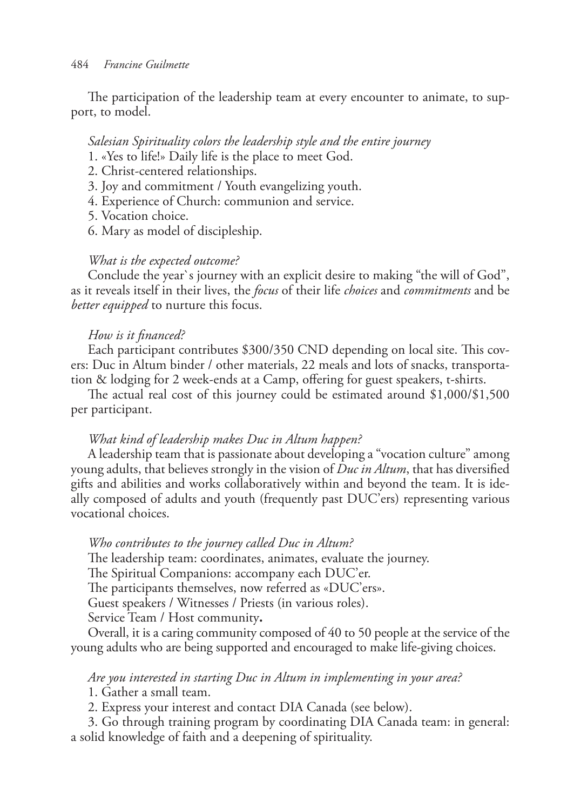The participation of the leadership team at every encounter to animate, to support, to model.

#### *Salesian Spirituality colors the leadership style and the entire journey*

- 1. «Yes to life!» Daily life is the place to meet God.
- 2. Christ-centered relationships.
- 3. Joy and commitment / Youth evangelizing youth.
- 4. Experience of Church: communion and service.
- 5. Vocation choice.
- 6. Mary as model of discipleship.

#### *What is the expected outcome?*

Conclude the year`s journey with an explicit desire to making "the will of God", as it reveals itself in their lives, the *focus* of their life *choices* and *commitments* and be *better equipped* to nurture this focus.

### *How is it financed?*

Each participant contributes \$300/350 CND depending on local site. This covers: Duc in Altum binder / other materials, 22 meals and lots of snacks, transportation & lodging for 2 week-ends at a Camp, offering for guest speakers, t-shirts.

The actual real cost of this journey could be estimated around \$1,000/\$1,500 per participant.

#### *What kind of leadership makes Duc in Altum happen?*

A leadership team that is passionate about developing a "vocation culture" among young adults, that believes strongly in the vision of *Duc in Altum*, that has diversified gifts and abilities and works collaboratively within and beyond the team. It is ideally composed of adults and youth (frequently past DUC'ers) representing various vocational choices.

*Who contributes to the journey called Duc in Altum?* The leadership team: coordinates, animates, evaluate the journey. The Spiritual Companions: accompany each DUC'er. The participants themselves, now referred as «DUC'ers». Guest speakers / Witnesses / Priests (in various roles). Service Team / Host community**.**

Overall, it is a caring community composed of 40 to 50 people at the service of the young adults who are being supported and encouraged to make life-giving choices.

## *Are you interested in starting Duc in Altum in implementing in your area?*

1. Gather a small team.

2. Express your interest and contact DIA Canada (see below).

3. Go through training program by coordinating DIA Canada team: in general: a solid knowledge of faith and a deepening of spirituality.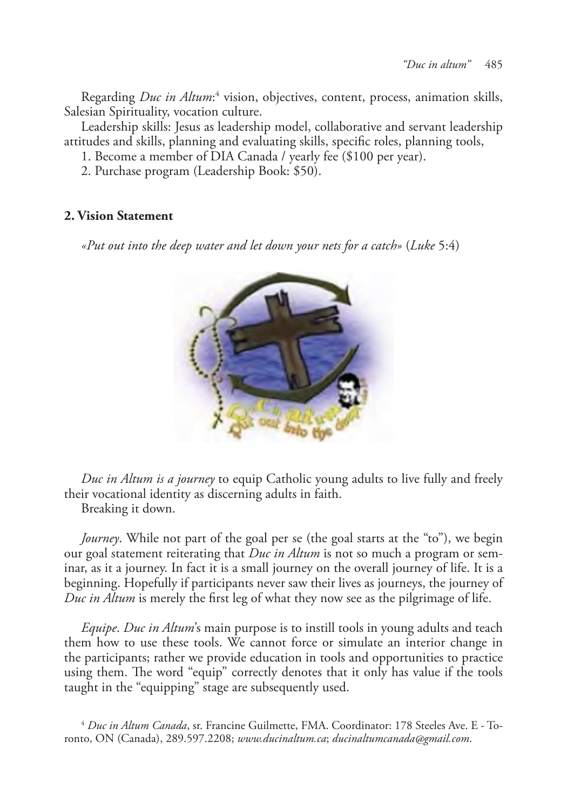Regarding *Duc in Altum*:<sup>4</sup> vision, objectives, content, process, animation skills, Salesian Spirituality, vocation culture.

Leadership skills: Jesus as leadership model, collaborative and servant leadership attitudes and skills, planning and evaluating skills, specific roles, planning tools,

1. Become a member of DIA Canada / yearly fee (\$100 per year).

2. Purchase program (Leadership Book: \$50).

## **2. Vision Statement**

*«Put out into the deep water and let down your nets for a catch»* (*Luke* 5:4)



*Duc in Altum is a journey* to equip Catholic young adults to live fully and freely their vocational identity as discerning adults in faith.

Breaking it down.

*Journey*. While not part of the goal per se (the goal starts at the "to"), we begin our goal statement reiterating that *Duc in Altum* is not so much a program or seminar, as it a journey. In fact it is a small journey on the overall journey of life. It is a beginning. Hopefully if participants never saw their lives as journeys, the journey of *Duc in Altum* is merely the first leg of what they now see as the pilgrimage of life.

*Equipe*. *Duc in Altum*'s main purpose is to instill tools in young adults and teach them how to use these tools. We cannot force or simulate an interior change in the participants; rather we provide education in tools and opportunities to practice using them. The word "equip" correctly denotes that it only has value if the tools taught in the "equipping" stage are subsequently used.

<sup>4</sup> *Duc in Altum Canada*, sr. Francine Guilmette, FMA. Coordinator: 178 Steeles Ave. E - Toronto, ON (Canada), 289.597.2208; *www.ducinaltum.ca*; *ducinaltumcanada@gmail.com*.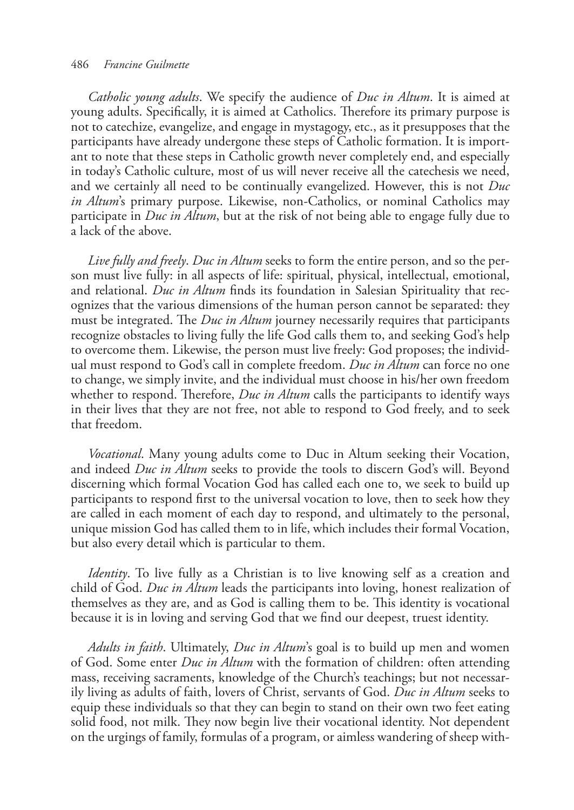#### 486 *Francine Guilmette*

*Catholic young adults*. We specify the audience of *Duc in Altum*. It is aimed at young adults. Specifically, it is aimed at Catholics. Therefore its primary purpose is not to catechize, evangelize, and engage in mystagogy, etc., as it presupposes that the participants have already undergone these steps of Catholic formation. It is important to note that these steps in Catholic growth never completely end, and especially in today's Catholic culture, most of us will never receive all the catechesis we need, and we certainly all need to be continually evangelized. However, this is not *Duc in Altum*'s primary purpose. Likewise, non-Catholics, or nominal Catholics may participate in *Duc in Altum*, but at the risk of not being able to engage fully due to a lack of the above.

*Live fully and freely*. *Duc in Altum* seeks to form the entire person, and so the person must live fully: in all aspects of life: spiritual, physical, intellectual, emotional, and relational. *Duc in Altum* finds its foundation in Salesian Spirituality that recognizes that the various dimensions of the human person cannot be separated: they must be integrated. The *Duc in Altum* journey necessarily requires that participants recognize obstacles to living fully the life God calls them to, and seeking God's help to overcome them. Likewise, the person must live freely: God proposes; the individual must respond to God's call in complete freedom. *Duc in Altum* can force no one to change, we simply invite, and the individual must choose in his/her own freedom whether to respond. Therefore, *Duc in Altum* calls the participants to identify ways in their lives that they are not free, not able to respond to God freely, and to seek that freedom.

*Vocational*. Many young adults come to Duc in Altum seeking their Vocation, and indeed *Duc in Altum* seeks to provide the tools to discern God's will. Beyond discerning which formal Vocation God has called each one to, we seek to build up participants to respond first to the universal vocation to love, then to seek how they are called in each moment of each day to respond, and ultimately to the personal, unique mission God has called them to in life, which includes their formal Vocation, but also every detail which is particular to them.

*Identity*. To live fully as a Christian is to live knowing self as a creation and child of God. *Duc in Altum* leads the participants into loving, honest realization of themselves as they are, and as God is calling them to be. This identity is vocational because it is in loving and serving God that we find our deepest, truest identity.

*Adults in faith*. Ultimately, *Duc in Altum*'s goal is to build up men and women of God. Some enter *Duc in Altum* with the formation of children: often attending mass, receiving sacraments, knowledge of the Church's teachings; but not necessarily living as adults of faith, lovers of Christ, servants of God. *Duc in Altum* seeks to equip these individuals so that they can begin to stand on their own two feet eating solid food, not milk. They now begin live their vocational identity. Not dependent on the urgings of family, formulas of a program, or aimless wandering of sheep with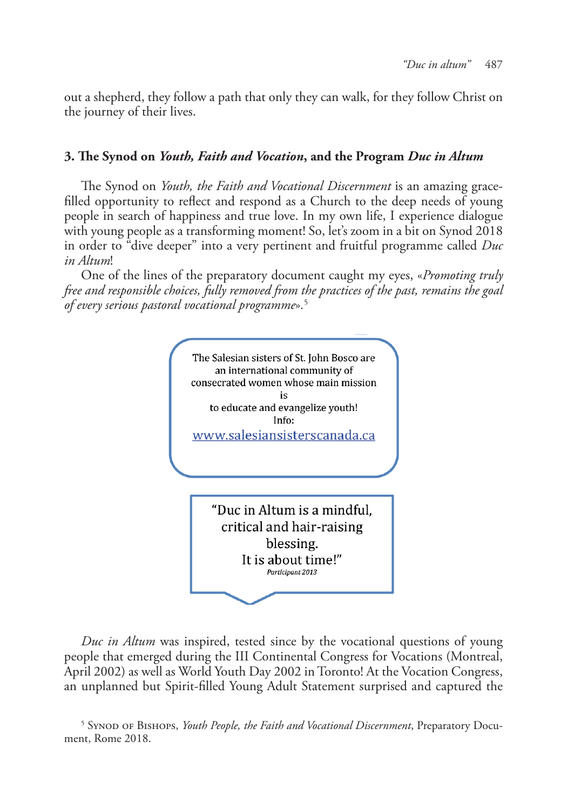out a shepherd, they follow a path that only they can walk, for they follow Christ on the journey of their lives.

## **3. The Synod on** *Youth, Faith and Vocation***, and the Program** *Duc in Altum*

The Synod on *Youth, the Faith and Vocational Discernment* is an amazing gracefilled opportunity to reflect and respond as a Church to the deep needs of young people in search of happiness and true love. In my own life, I experience dialogue with young people as a transforming moment! So, let's zoom in a bit on Synod 2018 in order to "dive deeper" into a very pertinent and fruitful programme called *Duc in Altum*!

One of the lines of the preparatory document caught my eyes, «*Promoting truly free and responsible choices, fully removed from the practices of the past, remains the goal of every serious pastoral vocational programme*»*.* 5



*Duc in Altum* was inspired, tested since by the vocational questions of young people that emerged during the III Continental Congress for Vocations (Montreal, April 2002) as well as World Youth Day 2002 in Toronto! At the Vocation Congress, an unplanned but Spirit-filled Young Adult Statement surprised and captured the

<sup>5</sup> Synod of Bishops, *Youth People, the Faith and Vocational Discernment*, Preparatory Document, Rome 2018.